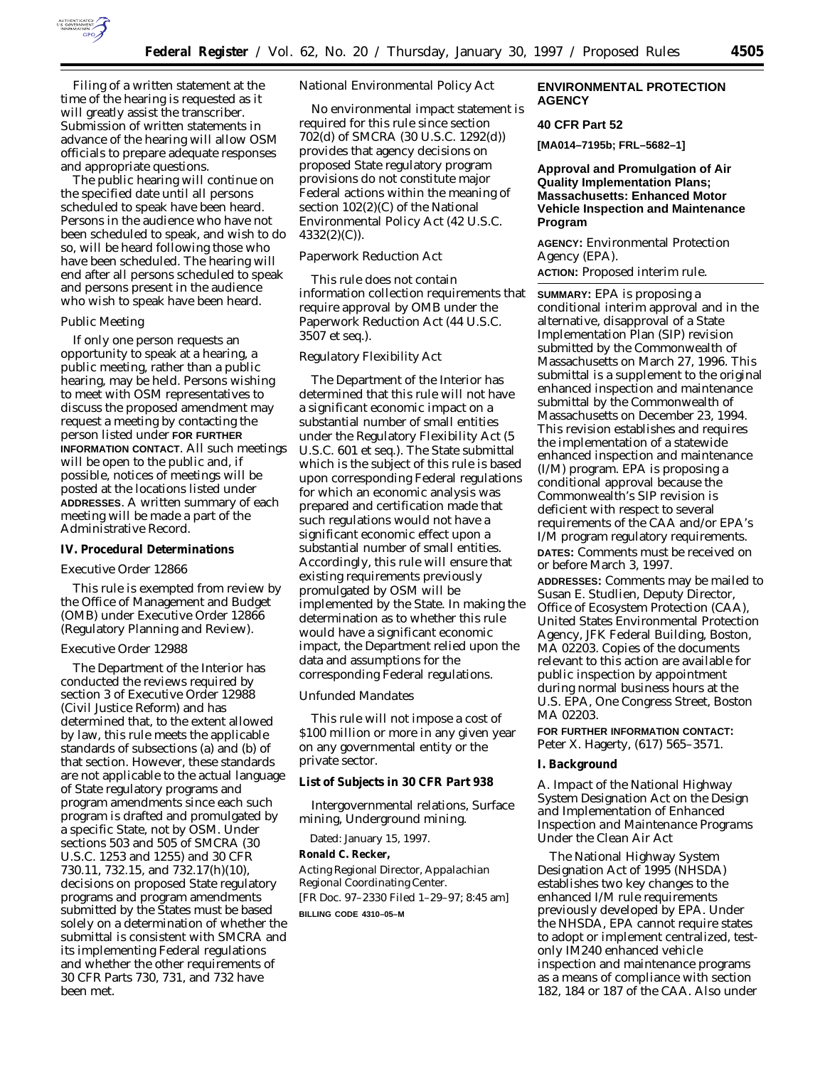

Filing of a written statement at the time of the hearing is requested as it will greatly assist the transcriber. Submission of written statements in advance of the hearing will allow OSM officials to prepare adequate responses and appropriate questions.

The public hearing will continue on the specified date until all persons scheduled to speak have been heard. Persons in the audience who have not been scheduled to speak, and wish to do so, will be heard following those who have been scheduled. The hearing will end after all persons scheduled to speak and persons present in the audience who wish to speak have been heard.

#### *Public Meeting*

If only one person requests an opportunity to speak at a hearing, a public meeting, rather than a public hearing, may be held. Persons wishing to meet with OSM representatives to discuss the proposed amendment may request a meeting by contacting the person listed under **FOR FURTHER INFORMATION CONTACT**. All such meetings will be open to the public and, if possible, notices of meetings will be posted at the locations listed under **ADDRESSES**. A written summary of each meeting will be made a part of the Administrative Record.

# **IV. Procedural Determinations**

#### *Executive Order 12866*

This rule is exempted from review by the Office of Management and Budget (OMB) under Executive Order 12866 (Regulatory Planning and Review).

# *Executive Order 12988*

The Department of the Interior has conducted the reviews required by section 3 of Executive Order 12988 (Civil Justice Reform) and has determined that, to the extent allowed by law, this rule meets the applicable standards of subsections (a) and (b) of that section. However, these standards are not applicable to the actual language of State regulatory programs and program amendments since each such program is drafted and promulgated by a specific State, not by OSM. Under sections 503 and 505 of SMCRA (30 U.S.C. 1253 and 1255) and 30 CFR 730.11, 732.15, and 732.17(h)(10), decisions on proposed State regulatory programs and program amendments submitted by the States must be based solely on a determination of whether the submittal is consistent with SMCRA and its implementing Federal regulations and whether the other requirements of 30 CFR Parts 730, 731, and 732 have been met.

# *National Environmental Policy Act*

No environmental impact statement is required for this rule since section 702(d) of SMCRA (30 U.S.C. 1292(d)) provides that agency decisions on proposed State regulatory program provisions do not constitute major Federal actions within the meaning of section 102(2)(C) of the National Environmental Policy Act (42 U.S.C. 4332(2)(C)).

# *Paperwork Reduction Act*

This rule does not contain information collection requirements that require approval by OMB under the Paperwork Reduction Act (44 U.S.C. 3507 *et seq.*).

#### *Regulatory Flexibility Act*

The Department of the Interior has determined that this rule will not have a significant economic impact on a substantial number of small entities under the Regulatory Flexibility Act (5 U.S.C. 601 *et seq.*). The State submittal which is the subject of this rule is based upon corresponding Federal regulations for which an economic analysis was prepared and certification made that such regulations would not have a significant economic effect upon a substantial number of small entities. Accordingly, this rule will ensure that existing requirements previously promulgated by OSM will be implemented by the State. In making the determination as to whether this rule would have a significant economic impact, the Department relied upon the data and assumptions for the corresponding Federal regulations.

### *Unfunded Mandates*

This rule will not impose a cost of \$100 million or more in any given year on any governmental entity or the private sector.

# **List of Subjects in 30 CFR Part 938**

Intergovernmental relations, Surface mining, Underground mining.

Dated: January 15, 1997.

**Ronald C. Recker,**

*Acting Regional Director, Appalachian Regional Coordinating Center.* [FR Doc. 97–2330 Filed 1–29–97; 8:45 am]

**BILLING CODE 4310–05–M**

# **ENVIRONMENTAL PROTECTION AGENCY**

# **40 CFR Part 52**

**[MA014–7195b; FRL–5682–1]**

# **Approval and Promulgation of Air Quality Implementation Plans; Massachusetts: Enhanced Motor Vehicle Inspection and Maintenance Program**

**AGENCY:** Environmental Protection Agency (EPA).

**ACTION:** Proposed interim rule.

**SUMMARY:** EPA is proposing a conditional interim approval and in the alternative, disapproval of a State Implementation Plan (SIP) revision submitted by the Commonwealth of Massachusetts on March 27, 1996. This submittal is a supplement to the original enhanced inspection and maintenance submittal by the Commonwealth of Massachusetts on December 23, 1994. This revision establishes and requires the implementation of a statewide enhanced inspection and maintenance (I/M) program. EPA is proposing a conditional approval because the Commonwealth's SIP revision is deficient with respect to several requirements of the CAA and/or EPA's I/M program regulatory requirements.

**DATES:** Comments must be received on or before March 3, 1997.

**ADDRESSES:** Comments may be mailed to Susan E. Studlien, Deputy Director, Office of Ecosystem Protection (CAA), United States Environmental Protection Agency, JFK Federal Building, Boston, MA 02203. Copies of the documents relevant to this action are available for public inspection by appointment during normal business hours at the U.S. EPA, One Congress Street, Boston MA 02203.

**FOR FURTHER INFORMATION CONTACT:** Peter X. Hagerty, (617) 565–3571.

## **I. Background**

*A. Impact of the National Highway System Designation Act on the Design and Implementation of Enhanced Inspection and Maintenance Programs Under the Clean Air Act*

The National Highway System Designation Act of 1995 (NHSDA) establishes two key changes to the enhanced I/M rule requirements previously developed by EPA. Under the NHSDA, EPA cannot require states to adopt or implement centralized, testonly IM240 enhanced vehicle inspection and maintenance programs as a means of compliance with section 182, 184 or 187 of the CAA. Also under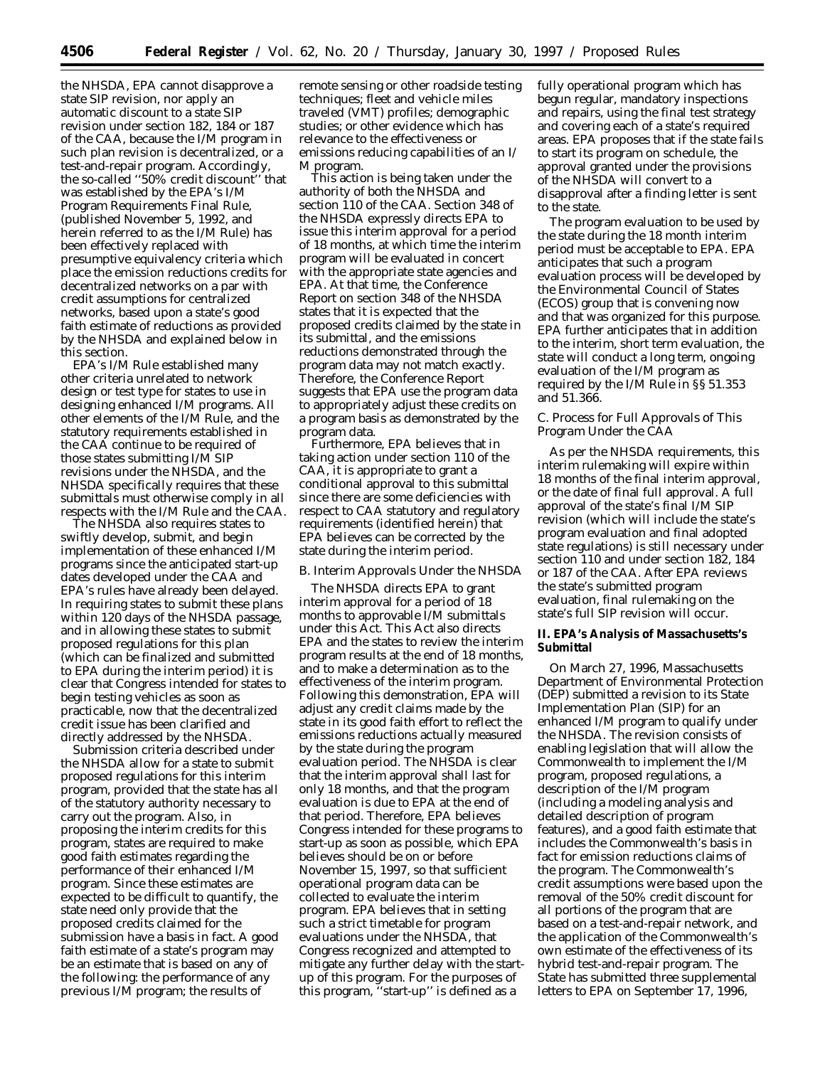the NHSDA, EPA cannot disapprove a state SIP revision, nor apply an automatic discount to a state SIP revision under section 182, 184 or 187 of the CAA, because the I/M program in such plan revision is decentralized, or a test-and-repair program. Accordingly, the so-called ''50% credit discount'' that was established by the EPA's I/M Program Requirements Final Rule, (published November 5, 1992, and herein referred to as the I/M Rule) has been effectively replaced with presumptive equivalency criteria which place the emission reductions credits for decentralized networks on a par with credit assumptions for centralized networks, based upon a state's good faith estimate of reductions as provided by the NHSDA and explained below in this section.

EPA's I/M Rule established many other criteria unrelated to network design or test type for states to use in designing enhanced I/M programs. All other elements of the I/M Rule, and the statutory requirements established in the CAA continue to be required of those states submitting I/M SIP revisions under the NHSDA, and the NHSDA specifically requires that these submittals must otherwise comply in all respects with the I/M Rule and the CAA.

The NHSDA also requires states to swiftly develop, submit, and begin implementation of these enhanced I/M programs since the anticipated start-up dates developed under the CAA and EPA's rules have already been delayed. In requiring states to submit these plans within 120 days of the NHSDA passage, and in allowing these states to submit proposed regulations for this plan (which can be finalized and submitted to EPA during the interim period) it is clear that Congress intended for states to begin testing vehicles as soon as practicable, now that the decentralized credit issue has been clarified and directly addressed by the NHSDA.

Submission criteria described under the NHSDA allow for a state to submit proposed regulations for this interim program, provided that the state has all of the statutory authority necessary to carry out the program. Also, in proposing the interim credits for this program, states are required to make good faith estimates regarding the performance of their enhanced I/M program. Since these estimates are expected to be difficult to quantify, the state need only provide that the proposed credits claimed for the submission have a basis in fact. A good faith estimate of a state's program may be an estimate that is based on any of the following: the performance of any previous I/M program; the results of

remote sensing or other roadside testing techniques; fleet and vehicle miles traveled (VMT) profiles; demographic studies; or other evidence which has relevance to the effectiveness or emissions reducing capabilities of an I/ M program.

This action is being taken under the authority of both the NHSDA and section 110 of the CAA. Section 348 of the NHSDA expressly directs EPA to issue this interim approval for a period of 18 months, at which time the interim program will be evaluated in concert with the appropriate state agencies and EPA. At that time, the Conference Report on section 348 of the NHSDA states that it is expected that the proposed credits claimed by the state in its submittal, and the emissions reductions demonstrated through the program data may not match exactly. Therefore, the Conference Report suggests that EPA use the program data to appropriately adjust these credits on a program basis as demonstrated by the program data.

Furthermore, EPA believes that in taking action under section 110 of the CAA, it is appropriate to grant a conditional approval to this submittal since there are some deficiencies with respect to CAA statutory and regulatory requirements (identified herein) that EPA believes can be corrected by the state during the interim period.

### *B. Interim Approvals Under the NHSDA*

The NHSDA directs EPA to grant interim approval for a period of 18 months to approvable I/M submittals under this Act. This Act also directs EPA and the states to review the interim program results at the end of 18 months, and to make a determination as to the effectiveness of the interim program. Following this demonstration, EPA will adjust any credit claims made by the state in its good faith effort to reflect the emissions reductions actually measured by the state during the program evaluation period. The NHSDA is clear that the interim approval shall last for only 18 months, and that the program evaluation is due to EPA at the end of that period. Therefore, EPA believes Congress intended for these programs to start-up as soon as possible, which EPA believes should be on or before November 15, 1997, so that sufficient operational program data can be collected to evaluate the interim program. EPA believes that in setting such a strict timetable for program evaluations under the NHSDA, that Congress recognized and attempted to mitigate any further delay with the startup of this program. For the purposes of this program, ''start-up'' is defined as a

fully operational program which has begun regular, mandatory inspections and repairs, using the final test strategy and covering each of a state's required areas. EPA proposes that if the state fails to start its program on schedule, the approval granted under the provisions of the NHSDA will convert to a disapproval after a finding letter is sent to the state.

The program evaluation to be used by the state during the 18 month interim period must be acceptable to EPA. EPA anticipates that such a program evaluation process will be developed by the Environmental Council of States (ECOS) group that is convening now and that was organized for this purpose. EPA further anticipates that in addition to the interim, short term evaluation, the state will conduct a long term, ongoing evaluation of the I/M program as required by the I/M Rule in §§ 51.353 and 51.366.

### *C. Process for Full Approvals of This Program Under the CAA*

As per the NHSDA requirements, this interim rulemaking will expire within 18 months of the final interim approval, or the date of final full approval. A full approval of the state's final I/M SIP revision (which will include the state's program evaluation and final adopted state regulations) is still necessary under section 110 and under section 182, 184 or 187 of the CAA. After EPA reviews the state's submitted program evaluation, final rulemaking on the state's full SIP revision will occur.

# **II. EPA's Analysis of Massachusetts's Submittal**

On March 27, 1996, Massachusetts Department of Environmental Protection (DEP) submitted a revision to its State Implementation Plan (SIP) for an enhanced I/M program to qualify under the NHSDA. The revision consists of enabling legislation that will allow the Commonwealth to implement the I/M program, proposed regulations, a description of the I/M program (including a modeling analysis and detailed description of program features), and a good faith estimate that includes the Commonwealth's basis in fact for emission reductions claims of the program. The Commonwealth's credit assumptions were based upon the removal of the 50% credit discount for all portions of the program that are based on a test-and-repair network, and the application of the Commonwealth's own estimate of the effectiveness of its hybrid test-and-repair program. The State has submitted three supplemental letters to EPA on September 17, 1996,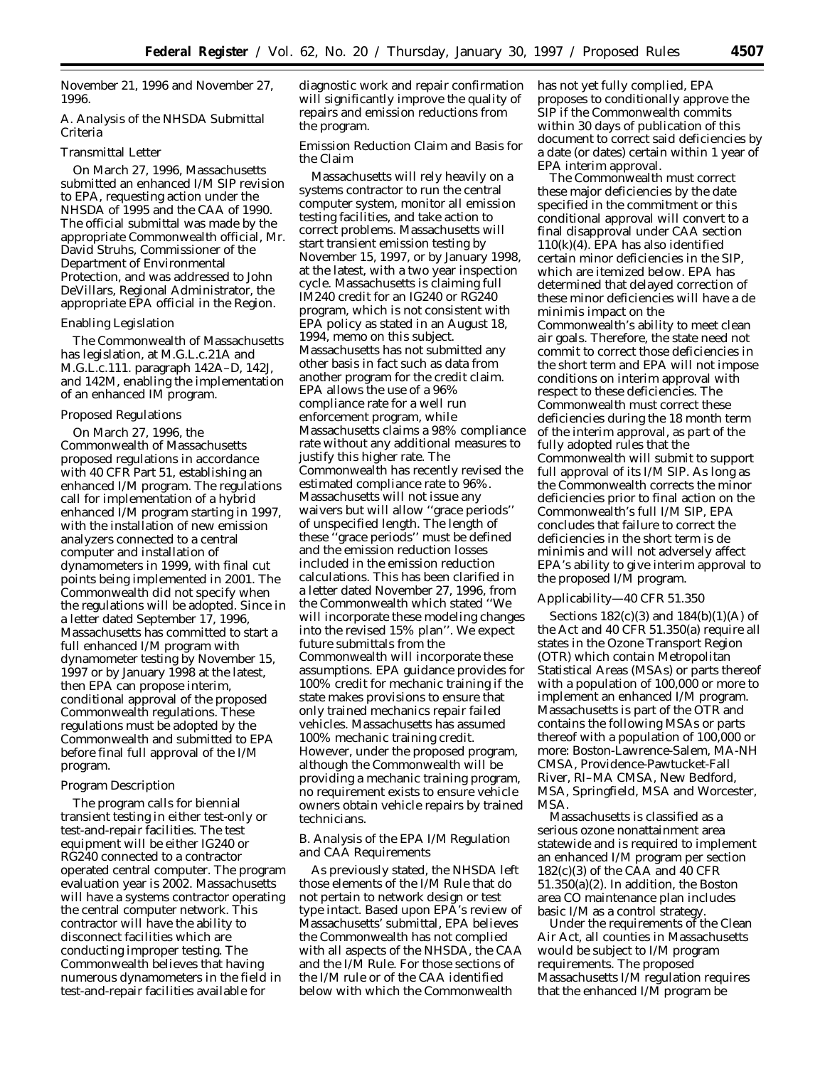November 21, 1996 and November 27, 1996.

# *A. Analysis of the NHSDA Submittal Criteria*

# Transmittal Letter

On March 27, 1996, Massachusetts submitted an enhanced I/M SIP revision to EPA, requesting action under the NHSDA of 1995 and the CAA of 1990. The official submittal was made by the appropriate Commonwealth official, Mr. David Struhs, Commissioner of the Department of Environmental Protection, and was addressed to John DeVillars, Regional Administrator, the appropriate EPA official in the Region.

#### Enabling Legislation

The Commonwealth of Massachusetts has legislation, at M.G.L.c.21A and M.G.L.c.111. paragraph 142A–D, 142J, and 142M, enabling the implementation of an enhanced IM program.

### Proposed Regulations

On March 27, 1996, the Commonwealth of Massachusetts proposed regulations in accordance with 40 CFR Part 51, establishing an enhanced I/M program. The regulations call for implementation of a hybrid enhanced I/M program starting in 1997, with the installation of new emission analyzers connected to a central computer and installation of dynamometers in 1999, with final cut points being implemented in 2001. The Commonwealth did not specify when the regulations will be adopted. Since in a letter dated September 17, 1996, Massachusetts has committed to start a full enhanced I/M program with dynamometer testing by November 15, 1997 or by January 1998 at the latest, then EPA can propose interim, conditional approval of the proposed Commonwealth regulations. These regulations must be adopted by the Commonwealth and submitted to EPA before final full approval of the I/M program.

# Program Description

The program calls for biennial transient testing in either test-only or test-and-repair facilities. The test equipment will be either IG240 or RG240 connected to a contractor operated central computer. The program evaluation year is 2002. Massachusetts will have a systems contractor operating the central computer network. This contractor will have the ability to disconnect facilities which are conducting improper testing. The Commonwealth believes that having numerous dynamometers in the field in test-and-repair facilities available for

diagnostic work and repair confirmation will significantly improve the quality of repairs and emission reductions from the program.

Emission Reduction Claim and Basis for the Claim

Massachusetts will rely heavily on a systems contractor to run the central computer system, monitor all emission testing facilities, and take action to correct problems. Massachusetts will start transient emission testing by November 15, 1997, or by January 1998, at the latest, with a two year inspection cycle. Massachusetts is claiming full IM240 credit for an IG240 or RG240 program, which is not consistent with EPA policy as stated in an August 18, 1994, memo on this subject. Massachusetts has not submitted any other basis in fact such as data from another program for the credit claim. EPA allows the use of a 96% compliance rate for a well run enforcement program, while Massachusetts claims a 98% compliance rate without any additional measures to justify this higher rate. The Commonwealth has recently revised the estimated compliance rate to 96%. Massachusetts will not issue any waivers but will allow ''grace periods'' of unspecified length. The length of these ''grace periods'' must be defined and the emission reduction losses included in the emission reduction calculations. This has been clarified in a letter dated November 27, 1996, from the Commonwealth which stated ''We will incorporate these modeling changes into the revised 15% plan''. We expect future submittals from the Commonwealth will incorporate these assumptions. EPA guidance provides for 100% credit for mechanic training if the state makes provisions to ensure that only trained mechanics repair failed vehicles. Massachusetts has assumed 100% mechanic training credit. However, under the proposed program, although the Commonwealth will be providing a mechanic training program, no requirement exists to ensure vehicle owners obtain vehicle repairs by trained technicians.

# *B. Analysis of the EPA I/M Regulation and CAA Requirements*

As previously stated, the NHSDA left those elements of the I/M Rule that do not pertain to network design or test type intact. Based upon EPA's review of Massachusetts' submittal, EPA believes the Commonwealth has not complied with all aspects of the NHSDA, the CAA and the I/M Rule. For those sections of the I/M rule or of the CAA identified below with which the Commonwealth

has not yet fully complied, EPA proposes to conditionally approve the SIP if the Commonwealth commits within 30 days of publication of this document to correct said deficiencies by a date (or dates) certain within 1 year of EPA interim approval.

The Commonwealth must correct these major deficiencies by the date specified in the commitment or this conditional approval will convert to a final disapproval under CAA section 110(k)(4). EPA has also identified certain minor deficiencies in the SIP, which are itemized below. EPA has determined that delayed correction of these minor deficiencies will have a de minimis impact on the Commonwealth's ability to meet clean air goals. Therefore, the state need not commit to correct those deficiencies in the short term and EPA will not impose conditions on interim approval with respect to these deficiencies. The Commonwealth must correct these deficiencies during the 18 month term of the interim approval, as part of the fully adopted rules that the Commonwealth will submit to support full approval of its I/M SIP. As long as the Commonwealth corrects the minor deficiencies prior to final action on the Commonwealth's full I/M SIP, EPA concludes that failure to correct the deficiencies in the short term is de minimis and will not adversely affect EPA's ability to give interim approval to the proposed I/M program.

#### Applicability—40 CFR 51.350

Sections 182(c)(3) and 184(b)(1)(A) of the Act and 40 CFR 51.350(a) require all states in the Ozone Transport Region (OTR) which contain Metropolitan Statistical Areas (MSAs) or parts thereof with a population of 100,000 or more to implement an enhanced I/M program. Massachusetts is part of the OTR and contains the following MSAs or parts thereof with a population of 100,000 or more: Boston-Lawrence-Salem, MA-NH CMSA, Providence-Pawtucket-Fall River, RI–MA CMSA, New Bedford, MSA, Springfield, MSA and Worcester, MSA.

Massachusetts is classified as a serious ozone nonattainment area statewide and is required to implement an enhanced I/M program per section 182(c)(3) of the CAA and 40 CFR 51.350(a)(2). In addition, the Boston area CO maintenance plan includes basic I/M as a control strategy.

Under the requirements of the Clean Air Act, all counties in Massachusetts would be subject to I/M program requirements. The proposed Massachusetts I/M regulation requires that the enhanced I/M program be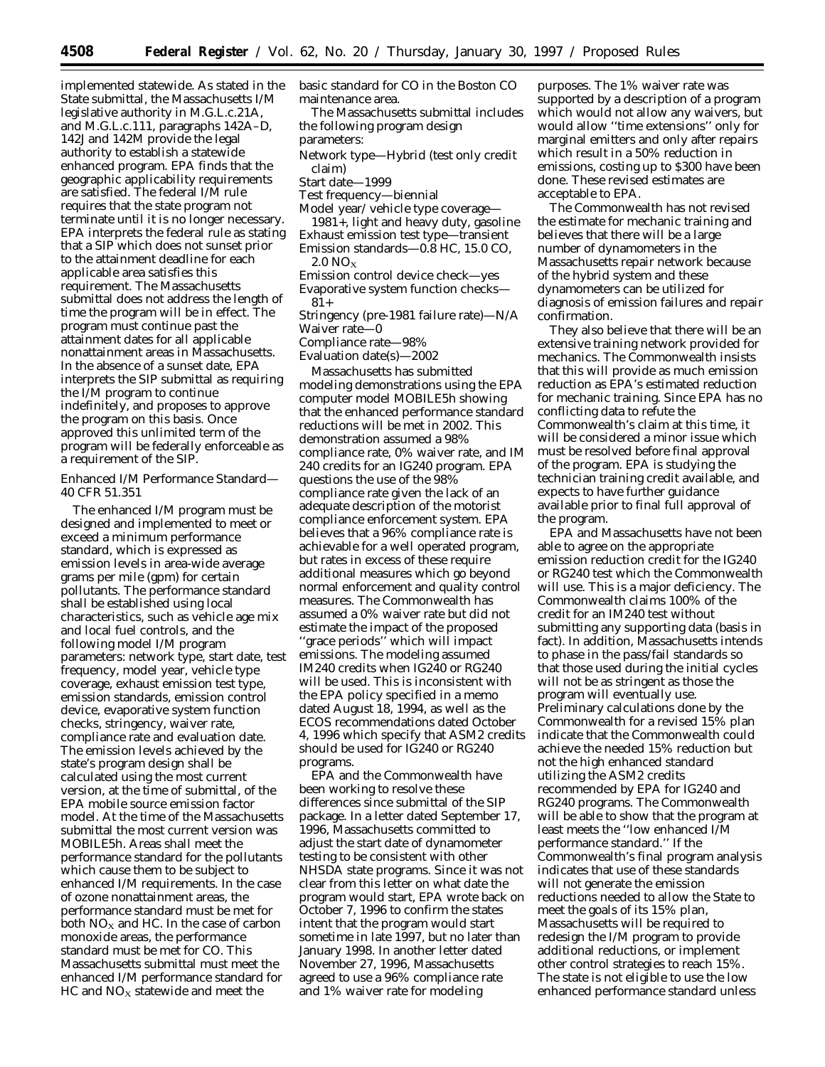implemented statewide. As stated in the State submittal, the Massachusetts I/M legislative authority in M.G.L.c.21A, and M.G.L.c.111, paragraphs 142A–D, 142J and 142M provide the legal authority to establish a statewide enhanced program. EPA finds that the geographic applicability requirements are satisfied. The federal I/M rule requires that the state program not terminate until it is no longer necessary. EPA interprets the federal rule as stating that a SIP which does not sunset prior to the attainment deadline for each applicable area satisfies this requirement. The Massachusetts submittal does not address the length of time the program will be in effect. The program must continue past the attainment dates for all applicable nonattainment areas in Massachusetts. In the absence of a sunset date, EPA interprets the SIP submittal as requiring the I/M program to continue indefinitely, and proposes to approve the program on this basis. Once approved this unlimited term of the program will be federally enforceable as a requirement of the SIP.

Enhanced I/M Performance Standard— 40 CFR 51.351

The enhanced I/M program must be designed and implemented to meet or exceed a minimum performance standard, which is expressed as emission levels in area-wide average grams per mile (gpm) for certain pollutants. The performance standard shall be established using local characteristics, such as vehicle age mix and local fuel controls, and the following model I/M program parameters: network type, start date, test frequency, model year, vehicle type coverage, exhaust emission test type, emission standards, emission control device, evaporative system function checks, stringency, waiver rate, compliance rate and evaluation date. The emission levels achieved by the state's program design shall be calculated using the most current version, at the time of submittal, of the EPA mobile source emission factor model. At the time of the Massachusetts submittal the most current version was MOBILE5h. Areas shall meet the performance standard for the pollutants which cause them to be subject to enhanced I/M requirements. In the case of ozone nonattainment areas, the performance standard must be met for both  $NO<sub>X</sub>$  and HC. In the case of carbon monoxide areas, the performance standard must be met for CO. This Massachusetts submittal must meet the enhanced I/M performance standard for  $HC$  and  $NO<sub>X</sub>$  statewide and meet the

basic standard for CO in the Boston CO maintenance area.

The Massachusetts submittal includes the following program design parameters:

Network type—Hybrid (test only credit claim)

Start date—1999

- Test frequency—biennial
- Model year/ vehicle type coverage—
- 1981+, light and heavy duty, gasoline Exhaust emission test type—transient Emission standards—0.8 HC, 15.0 CO,
	- $2.0 NO<sub>x</sub>$
- Emission control device check—yes Evaporative system function checks— 81+

Stringency (pre-1981 failure rate)—N/A Waiver rate—0

Compliance rate—98%

Evaluation date(s)—2002

Massachusetts has submitted modeling demonstrations using the EPA computer model MOBILE5h showing that the enhanced performance standard reductions will be met in 2002. This demonstration assumed a 98% compliance rate, 0% waiver rate, and IM 240 credits for an IG240 program. EPA questions the use of the 98% compliance rate given the lack of an adequate description of the motorist compliance enforcement system. EPA believes that a 96% compliance rate is achievable for a well operated program, but rates in excess of these require additional measures which go beyond normal enforcement and quality control measures. The Commonwealth has assumed a 0% waiver rate but did not estimate the impact of the proposed ''grace periods'' which will impact emissions. The modeling assumed IM240 credits when IG240 or RG240 will be used. This is inconsistent with the EPA policy specified in a memo dated August 18, 1994, as well as the ECOS recommendations dated October 4, 1996 which specify that ASM2 credits should be used for IG240 or RG240 programs.

EPA and the Commonwealth have been working to resolve these differences since submittal of the SIP package. In a letter dated September 17, 1996, Massachusetts committed to adjust the start date of dynamometer testing to be consistent with other NHSDA state programs. Since it was not clear from this letter on what date the program would start, EPA wrote back on October 7, 1996 to confirm the states intent that the program would start sometime in late 1997, but no later than January 1998. In another letter dated November 27, 1996, Massachusetts agreed to use a 96% compliance rate and 1% waiver rate for modeling

purposes. The 1% waiver rate was supported by a description of a program which would not allow any waivers, but would allow ''time extensions'' only for marginal emitters and only after repairs which result in a 50% reduction in emissions, costing up to \$300 have been done. These revised estimates are acceptable to EPA.

The Commonwealth has not revised the estimate for mechanic training and believes that there will be a large number of dynamometers in the Massachusetts repair network because of the hybrid system and these dynamometers can be utilized for diagnosis of emission failures and repair confirmation.

They also believe that there will be an extensive training network provided for mechanics. The Commonwealth insists that this will provide as much emission reduction as EPA's estimated reduction for mechanic training. Since EPA has no conflicting data to refute the Commonwealth's claim at this time, it will be considered a minor issue which must be resolved before final approval of the program. EPA is studying the technician training credit available, and expects to have further guidance available prior to final full approval of the program.

EPA and Massachusetts have not been able to agree on the appropriate emission reduction credit for the IG240 or RG240 test which the Commonwealth will use. This is a major deficiency. The Commonwealth claims 100% of the credit for an IM240 test without submitting any supporting data (basis in fact). In addition, Massachusetts intends to phase in the pass/fail standards so that those used during the initial cycles will not be as stringent as those the program will eventually use. Preliminary calculations done by the Commonwealth for a revised 15% plan indicate that the Commonwealth could achieve the needed 15% reduction but not the high enhanced standard utilizing the ASM2 credits recommended by EPA for IG240 and RG240 programs. The Commonwealth will be able to show that the program at least meets the ''low enhanced I/M performance standard.'' If the Commonwealth's final program analysis indicates that use of these standards will not generate the emission reductions needed to allow the State to meet the goals of its 15% plan, Massachusetts will be required to redesign the I/M program to provide additional reductions, or implement other control strategies to reach 15%. The state is not eligible to use the low enhanced performance standard unless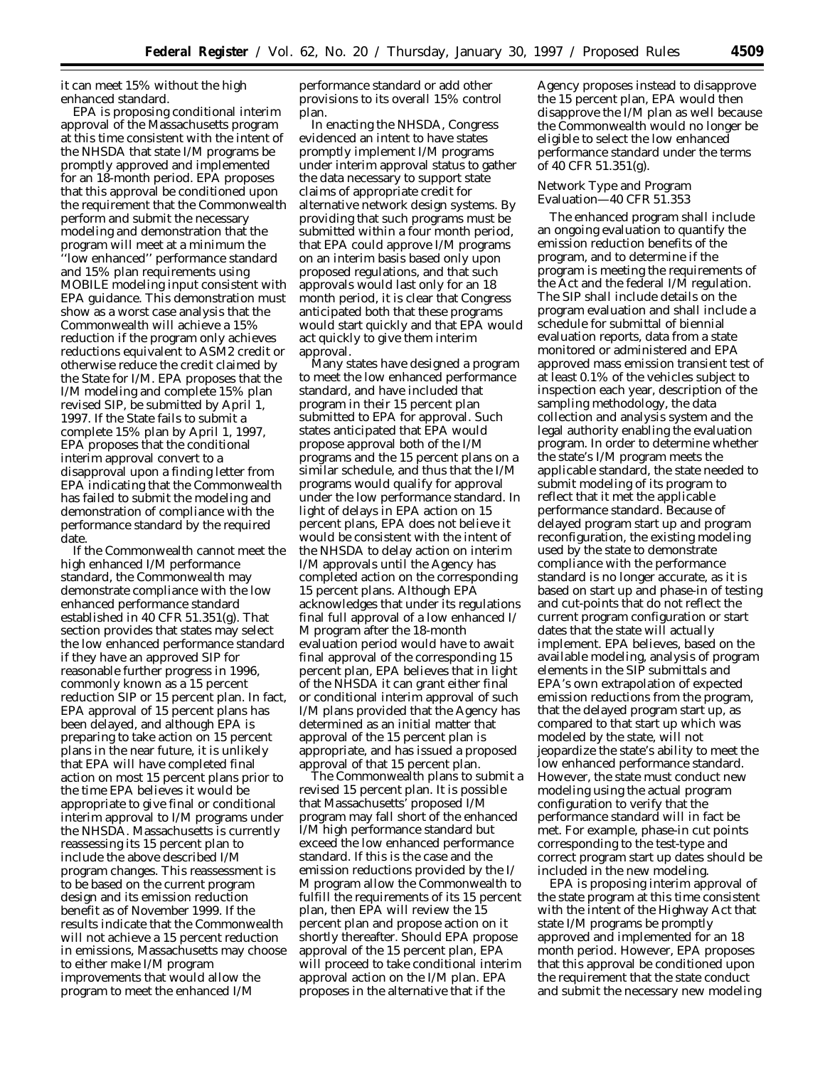it can meet 15% without the high enhanced standard.

EPA is proposing conditional interim approval of the Massachusetts program at this time consistent with the intent of the NHSDA that state I/M programs be promptly approved and implemented for an 18-month period. EPA proposes that this approval be conditioned upon the requirement that the Commonwealth perform and submit the necessary modeling and demonstration that the program will meet at a minimum the ''low enhanced'' performance standard and 15% plan requirements using MOBILE modeling input consistent with EPA guidance. This demonstration must show as a worst case analysis that the Commonwealth will achieve a 15% reduction if the program only achieves reductions equivalent to ASM2 credit or otherwise reduce the credit claimed by the State for I/M. EPA proposes that the I/M modeling and complete 15% plan revised SIP, be submitted by April 1, 1997. If the State fails to submit a complete 15% plan by April 1, 1997, EPA proposes that the conditional interim approval convert to a disapproval upon a finding letter from EPA indicating that the Commonwealth has failed to submit the modeling and demonstration of compliance with the performance standard by the required date.

If the Commonwealth cannot meet the high enhanced I/M performance standard, the Commonwealth may demonstrate compliance with the low enhanced performance standard established in 40 CFR 51.351(g). That section provides that states may select the low enhanced performance standard if they have an approved SIP for reasonable further progress in 1996, commonly known as a 15 percent reduction SIP or 15 percent plan. In fact, EPA approval of 15 percent plans has been delayed, and although EPA is preparing to take action on 15 percent plans in the near future, it is unlikely that EPA will have completed final action on most 15 percent plans prior to the time EPA believes it would be appropriate to give final or conditional interim approval to I/M programs under the NHSDA. Massachusetts is currently reassessing its 15 percent plan to include the above described I/M program changes. This reassessment is to be based on the current program design and its emission reduction benefit as of November 1999. If the results indicate that the Commonwealth will not achieve a 15 percent reduction in emissions, Massachusetts may choose to either make I/M program improvements that would allow the program to meet the enhanced I/M

performance standard or add other provisions to its overall 15% control plan.

In enacting the NHSDA, Congress evidenced an intent to have states promptly implement I/M programs under interim approval status to gather the data necessary to support state claims of appropriate credit for alternative network design systems. By providing that such programs must be submitted within a four month period, that EPA could approve I/M programs on an interim basis based only upon proposed regulations, and that such approvals would last only for an 18 month period, it is clear that Congress anticipated both that these programs would start quickly and that EPA would act quickly to give them interim approval.

Many states have designed a program to meet the low enhanced performance standard, and have included that program in their 15 percent plan submitted to EPA for approval. Such states anticipated that EPA would propose approval both of the I/M programs and the 15 percent plans on a similar schedule, and thus that the I/M programs would qualify for approval under the low performance standard. In light of delays in EPA action on 15 percent plans, EPA does not believe it would be consistent with the intent of the NHSDA to delay action on interim I/M approvals until the Agency has completed action on the corresponding 15 percent plans. Although EPA acknowledges that under its regulations final full approval of a low enhanced I/ M program after the 18-month evaluation period would have to await final approval of the corresponding 15 percent plan, EPA believes that in light of the NHSDA it can grant either final or conditional interim approval of such I/M plans provided that the Agency has determined as an initial matter that approval of the 15 percent plan is appropriate, and has issued a proposed approval of that 15 percent plan.

The Commonwealth plans to submit a revised 15 percent plan. It is possible that Massachusetts' proposed I/M program may fall short of the enhanced I/M high performance standard but exceed the low enhanced performance standard. If this is the case and the emission reductions provided by the I/ M program allow the Commonwealth to fulfill the requirements of its 15 percent plan, then EPA will review the 15 percent plan and propose action on it shortly thereafter. Should EPA propose approval of the 15 percent plan, EPA will proceed to take conditional interim approval action on the I/M plan. EPA proposes in the alternative that if the

Agency proposes instead to disapprove the 15 percent plan, EPA would then disapprove the I/M plan as well because the Commonwealth would no longer be eligible to select the low enhanced performance standard under the terms of 40 CFR 51.351(g).

#### Network Type and Program Evaluation—40 CFR 51.353

The enhanced program shall include an ongoing evaluation to quantify the emission reduction benefits of the program, and to determine if the program is meeting the requirements of the Act and the federal I/M regulation. The SIP shall include details on the program evaluation and shall include a schedule for submittal of biennial evaluation reports, data from a state monitored or administered and EPA approved mass emission transient test of at least 0.1% of the vehicles subject to inspection each year, description of the sampling methodology, the data collection and analysis system and the legal authority enabling the evaluation program. In order to determine whether the state's I/M program meets the applicable standard, the state needed to submit modeling of its program to reflect that it met the applicable performance standard. Because of delayed program start up and program reconfiguration, the existing modeling used by the state to demonstrate compliance with the performance standard is no longer accurate, as it is based on start up and phase-in of testing and cut-points that do not reflect the current program configuration or start dates that the state will actually implement. EPA believes, based on the available modeling, analysis of program elements in the SIP submittals and EPA's own extrapolation of expected emission reductions from the program, that the delayed program start up, as compared to that start up which was modeled by the state, will not jeopardize the state's ability to meet the low enhanced performance standard. However, the state must conduct new modeling using the actual program configuration to verify that the performance standard will in fact be met. For example, phase-in cut points corresponding to the test-type and correct program start up dates should be included in the new modeling.

EPA is proposing interim approval of the state program at this time consistent with the intent of the Highway Act that state I/M programs be promptly approved and implemented for an 18 month period. However, EPA proposes that this approval be conditioned upon the requirement that the state conduct and submit the necessary new modeling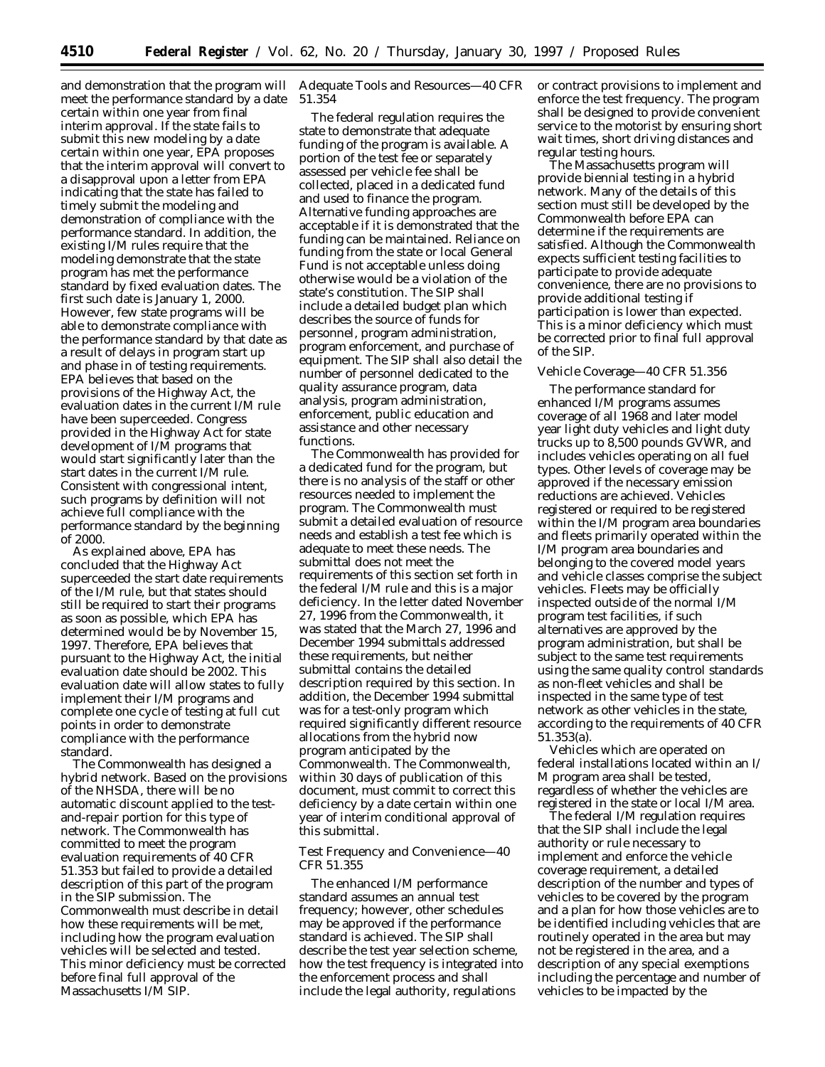meet the performance standard by a date certain within one year from final interim approval. If the state fails to submit this new modeling by a date certain within one year, EPA proposes that the interim approval will convert to a disapproval upon a letter from EPA indicating that the state has failed to timely submit the modeling and demonstration of compliance with the performance standard. In addition, the existing I/M rules require that the modeling demonstrate that the state program has met the performance standard by fixed evaluation dates. The first such date is January 1, 2000. However, few state programs will be able to demonstrate compliance with the performance standard by that date as a result of delays in program start up and phase in of testing requirements. EPA believes that based on the provisions of the Highway Act, the evaluation dates in the current I/M rule have been superceeded. Congress provided in the Highway Act for state development of I/M programs that would start significantly later than the start dates in the current I/M rule. Consistent with congressional intent, such programs by definition will not achieve full compliance with the performance standard by the beginning of 2000.

As explained above, EPA has concluded that the Highway Act superceeded the start date requirements of the I/M rule, but that states should still be required to start their programs as soon as possible, which EPA has determined would be by November 15, 1997. Therefore, EPA believes that pursuant to the Highway Act, the initial evaluation date should be 2002. This evaluation date will allow states to fully implement their I/M programs and complete one cycle of testing at full cut points in order to demonstrate compliance with the performance standard.

The Commonwealth has designed a hybrid network. Based on the provisions of the NHSDA, there will be no automatic discount applied to the testand-repair portion for this type of network. The Commonwealth has committed to meet the program evaluation requirements of 40 CFR 51.353 but failed to provide a detailed description of this part of the program in the SIP submission. The Commonwealth must describe in detail how these requirements will be met, including how the program evaluation vehicles will be selected and tested. This minor deficiency must be corrected before final full approval of the Massachusetts I/M SIP.

and demonstration that the program will Adequate Tools and Resources—40 CFR 51.354

> The federal regulation requires the state to demonstrate that adequate funding of the program is available. A portion of the test fee or separately assessed per vehicle fee shall be collected, placed in a dedicated fund and used to finance the program. Alternative funding approaches are acceptable if it is demonstrated that the funding can be maintained. Reliance on funding from the state or local General Fund is not acceptable unless doing otherwise would be a violation of the state's constitution. The SIP shall include a detailed budget plan which describes the source of funds for personnel, program administration, program enforcement, and purchase of equipment. The SIP shall also detail the number of personnel dedicated to the quality assurance program, data analysis, program administration, enforcement, public education and assistance and other necessary functions.

The Commonwealth has provided for a dedicated fund for the program, but there is no analysis of the staff or other resources needed to implement the program. The Commonwealth must submit a detailed evaluation of resource needs and establish a test fee which is adequate to meet these needs. The submittal does not meet the requirements of this section set forth in the federal I/M rule and this is a major deficiency. In the letter dated November 27, 1996 from the Commonwealth, it was stated that the March 27, 1996 and December 1994 submittals addressed these requirements, but neither submittal contains the detailed description required by this section. In addition, the December 1994 submittal was for a test-only program which required significantly different resource allocations from the hybrid now program anticipated by the Commonwealth. The Commonwealth, within 30 days of publication of this document, must commit to correct this deficiency by a date certain within one year of interim conditional approval of this submittal.

Test Frequency and Convenience—40 CFR 51.355

The enhanced I/M performance standard assumes an annual test frequency; however, other schedules may be approved if the performance standard is achieved. The SIP shall describe the test year selection scheme, how the test frequency is integrated into the enforcement process and shall include the legal authority, regulations

or contract provisions to implement and enforce the test frequency. The program shall be designed to provide convenient service to the motorist by ensuring short wait times, short driving distances and regular testing hours.

The Massachusetts program will provide biennial testing in a hybrid network. Many of the details of this section must still be developed by the Commonwealth before EPA can determine if the requirements are satisfied. Although the Commonwealth expects sufficient testing facilities to participate to provide adequate convenience, there are no provisions to provide additional testing if participation is lower than expected. This is a minor deficiency which must be corrected prior to final full approval of the SIP.

### Vehicle Coverage—40 CFR 51.356

The performance standard for enhanced I/M programs assumes coverage of all 1968 and later model year light duty vehicles and light duty trucks up to 8,500 pounds GVWR, and includes vehicles operating on all fuel types. Other levels of coverage may be approved if the necessary emission reductions are achieved. Vehicles registered or required to be registered within the I/M program area boundaries and fleets primarily operated within the I/M program area boundaries and belonging to the covered model years and vehicle classes comprise the subject vehicles. Fleets may be officially inspected outside of the normal I/M program test facilities, if such alternatives are approved by the program administration, but shall be subject to the same test requirements using the same quality control standards as non-fleet vehicles and shall be inspected in the same type of test network as other vehicles in the state, according to the requirements of 40 CFR 51.353(a).

Vehicles which are operated on federal installations located within an I/ M program area shall be tested, regardless of whether the vehicles are registered in the state or local I/M area.

The federal I/M regulation requires that the SIP shall include the legal authority or rule necessary to implement and enforce the vehicle coverage requirement, a detailed description of the number and types of vehicles to be covered by the program and a plan for how those vehicles are to be identified including vehicles that are routinely operated in the area but may not be registered in the area, and a description of any special exemptions including the percentage and number of vehicles to be impacted by the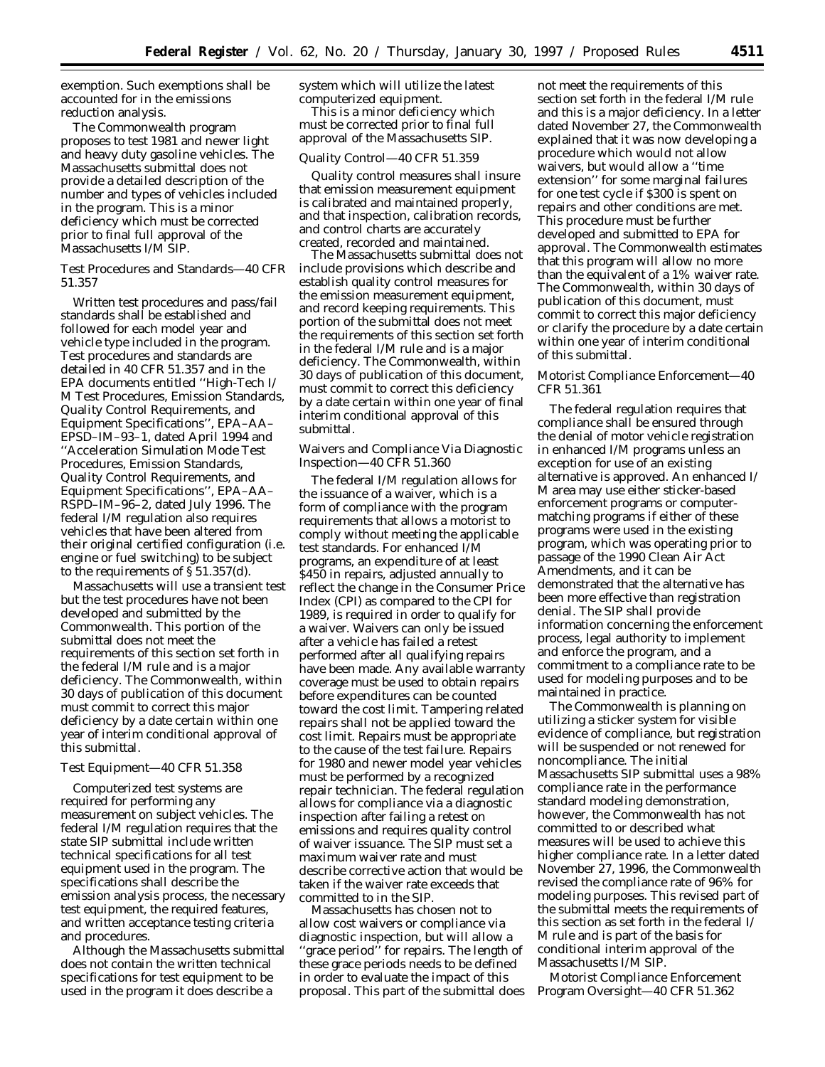exemption. Such exemptions shall be accounted for in the emissions reduction analysis.

The Commonwealth program proposes to test 1981 and newer light and heavy duty gasoline vehicles. The Massachusetts submittal does not provide a detailed description of the number and types of vehicles included in the program. This is a minor deficiency which must be corrected prior to final full approval of the Massachusetts I/M SIP.

Test Procedures and Standards—40 CFR 51.357

Written test procedures and pass/fail standards shall be established and followed for each model year and vehicle type included in the program. Test procedures and standards are detailed in 40 CFR 51.357 and in the EPA documents entitled ''High-Tech I/ M Test Procedures, Emission Standards, Quality Control Requirements, and Equipment Specifications'', EPA–AA– EPSD–IM–93–1, dated April 1994 and ''Acceleration Simulation Mode Test Procedures, Emission Standards, Quality Control Requirements, and Equipment Specifications'', EPA–AA– RSPD–IM–96–2, dated July 1996. The federal I/M regulation also requires vehicles that have been altered from their original certified configuration (i.e. engine or fuel switching) to be subject to the requirements of  $\S 51.357(d)$ .

Massachusetts will use a transient test but the test procedures have not been developed and submitted by the Commonwealth. This portion of the submittal does not meet the requirements of this section set forth in the federal I/M rule and is a major deficiency. The Commonwealth, within 30 days of publication of this document must commit to correct this major deficiency by a date certain within one year of interim conditional approval of this submittal.

# Test Equipment—40 CFR 51.358

Computerized test systems are required for performing any measurement on subject vehicles. The federal I/M regulation requires that the state SIP submittal include written technical specifications for all test equipment used in the program. The specifications shall describe the emission analysis process, the necessary test equipment, the required features, and written acceptance testing criteria and procedures.

Although the Massachusetts submittal does not contain the written technical specifications for test equipment to be used in the program it does describe a

system which will utilize the latest computerized equipment.

This is a minor deficiency which must be corrected prior to final full approval of the Massachusetts SIP.

#### Quality Control—40 CFR 51.359

Quality control measures shall insure that emission measurement equipment is calibrated and maintained properly, and that inspection, calibration records, and control charts are accurately created, recorded and maintained.

The Massachusetts submittal does not include provisions which describe and establish quality control measures for the emission measurement equipment, and record keeping requirements. This portion of the submittal does not meet the requirements of this section set forth in the federal I/M rule and is a major deficiency. The Commonwealth, within 30 days of publication of this document, must commit to correct this deficiency by a date certain within one year of final interim conditional approval of this submittal.

Waivers and Compliance Via Diagnostic Inspection—40 CFR 51.360

The federal I/M regulation allows for the issuance of a waiver, which is a form of compliance with the program requirements that allows a motorist to comply without meeting the applicable test standards. For enhanced I/M programs, an expenditure of at least \$450 in repairs, adjusted annually to reflect the change in the Consumer Price Index (CPI) as compared to the CPI for 1989, is required in order to qualify for a waiver. Waivers can only be issued after a vehicle has failed a retest performed after all qualifying repairs have been made. Any available warranty coverage must be used to obtain repairs before expenditures can be counted toward the cost limit. Tampering related repairs shall not be applied toward the cost limit. Repairs must be appropriate to the cause of the test failure. Repairs for 1980 and newer model year vehicles must be performed by a recognized repair technician. The federal regulation allows for compliance via a diagnostic inspection after failing a retest on emissions and requires quality control of waiver issuance. The SIP must set a maximum waiver rate and must describe corrective action that would be taken if the waiver rate exceeds that committed to in the SIP.

Massachusetts has chosen not to allow cost waivers or compliance via diagnostic inspection, but will allow a ''grace period'' for repairs. The length of these grace periods needs to be defined in order to evaluate the impact of this proposal. This part of the submittal does not meet the requirements of this section set forth in the federal I/M rule and this is a major deficiency. In a letter dated November 27, the Commonwealth explained that it was now developing a procedure which would not allow waivers, but would allow a ''time extension'' for some marginal failures for one test cycle if \$300 is spent on repairs and other conditions are met. This procedure must be further developed and submitted to EPA for approval. The Commonwealth estimates that this program will allow no more than the equivalent of a 1% waiver rate. The Commonwealth, within 30 days of publication of this document, must commit to correct this major deficiency or clarify the procedure by a date certain within one year of interim conditional of this submittal.

# Motorist Compliance Enforcement—40 CFR 51.361

The federal regulation requires that compliance shall be ensured through the denial of motor vehicle registration in enhanced I/M programs unless an exception for use of an existing alternative is approved. An enhanced I/ M area may use either sticker-based enforcement programs or computermatching programs if either of these programs were used in the existing program, which was operating prior to passage of the 1990 Clean Air Act Amendments, and it can be demonstrated that the alternative has been more effective than registration denial. The SIP shall provide information concerning the enforcement process, legal authority to implement and enforce the program, and a commitment to a compliance rate to be used for modeling purposes and to be maintained in practice.

The Commonwealth is planning on utilizing a sticker system for visible evidence of compliance, but registration will be suspended or not renewed for noncompliance. The initial Massachusetts SIP submittal uses a 98% compliance rate in the performance standard modeling demonstration, however, the Commonwealth has not committed to or described what measures will be used to achieve this higher compliance rate. In a letter dated November 27, 1996, the Commonwealth revised the compliance rate of 96% for modeling purposes. This revised part of the submittal meets the requirements of this section as set forth in the federal I/ M rule and is part of the basis for conditional interim approval of the Massachusetts I/M SIP.

Motorist Compliance Enforcement Program Oversight—40 CFR 51.362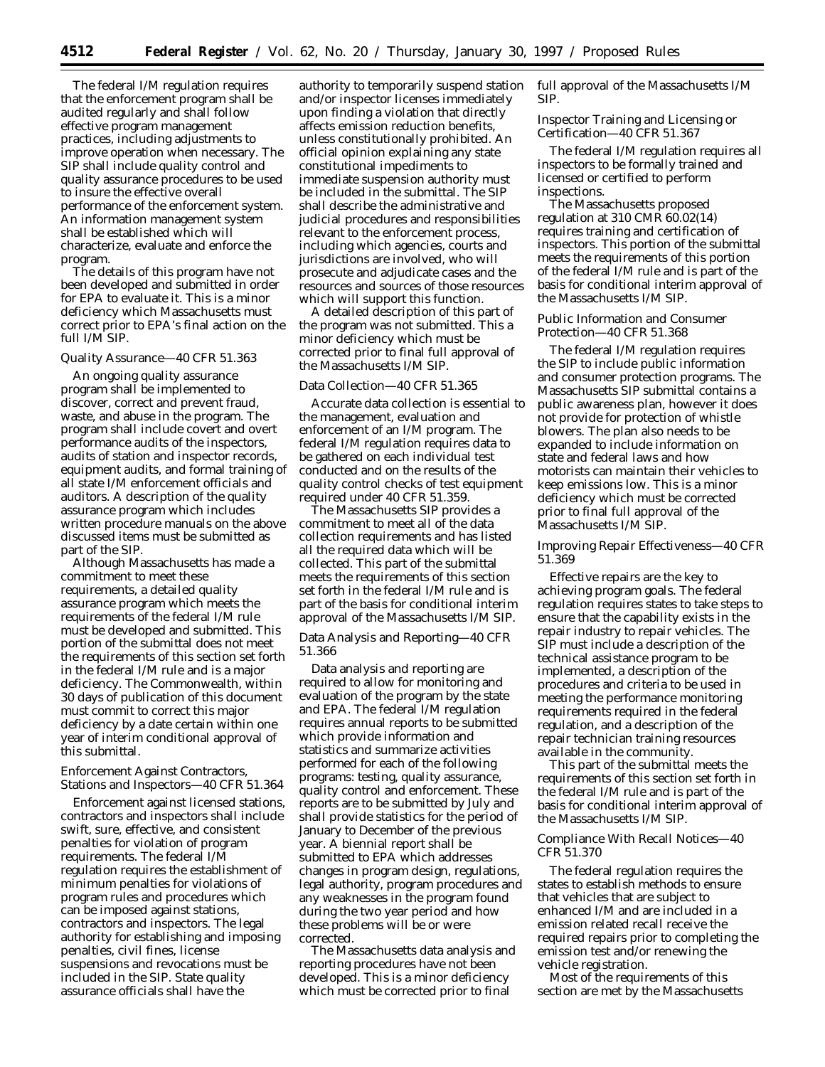The federal I/M regulation requires that the enforcement program shall be audited regularly and shall follow effective program management practices, including adjustments to improve operation when necessary. The SIP shall include quality control and quality assurance procedures to be used to insure the effective overall performance of the enforcement system. An information management system shall be established which will characterize, evaluate and enforce the program.

The details of this program have not been developed and submitted in order for EPA to evaluate it. This is a minor deficiency which Massachusetts must correct prior to EPA's final action on the full I/M SIP.

#### Quality Assurance—40 CFR 51.363

An ongoing quality assurance program shall be implemented to discover, correct and prevent fraud, waste, and abuse in the program. The program shall include covert and overt performance audits of the inspectors, audits of station and inspector records, equipment audits, and formal training of all state I/M enforcement officials and auditors. A description of the quality assurance program which includes written procedure manuals on the above discussed items must be submitted as part of the SIP.

Although Massachusetts has made a commitment to meet these requirements, a detailed quality assurance program which meets the requirements of the federal I/M rule must be developed and submitted. This portion of the submittal does not meet the requirements of this section set forth in the federal I/M rule and is a major deficiency. The Commonwealth, within 30 days of publication of this document must commit to correct this major deficiency by a date certain within one year of interim conditional approval of this submittal.

### Enforcement Against Contractors, Stations and Inspectors—40 CFR 51.364

Enforcement against licensed stations, contractors and inspectors shall include swift, sure, effective, and consistent penalties for violation of program requirements. The federal I/M regulation requires the establishment of minimum penalties for violations of program rules and procedures which can be imposed against stations, contractors and inspectors. The legal authority for establishing and imposing penalties, civil fines, license suspensions and revocations must be included in the SIP. State quality assurance officials shall have the

authority to temporarily suspend station and/or inspector licenses immediately upon finding a violation that directly affects emission reduction benefits, unless constitutionally prohibited. An official opinion explaining any state constitutional impediments to immediate suspension authority must be included in the submittal. The SIP shall describe the administrative and judicial procedures and responsibilities relevant to the enforcement process, including which agencies, courts and jurisdictions are involved, who will prosecute and adjudicate cases and the resources and sources of those resources which will support this function.

A detailed description of this part of the program was not submitted. This a minor deficiency which must be corrected prior to final full approval of the Massachusetts I/M SIP.

#### Data Collection—40 CFR 51.365

Accurate data collection is essential to the management, evaluation and enforcement of an I/M program. The federal I/M regulation requires data to be gathered on each individual test conducted and on the results of the quality control checks of test equipment required under 40 CFR 51.359.

The Massachusetts SIP provides a commitment to meet all of the data collection requirements and has listed all the required data which will be collected. This part of the submittal meets the requirements of this section set forth in the federal I/M rule and is part of the basis for conditional interim approval of the Massachusetts I/M SIP.

Data Analysis and Reporting—40 CFR 51.366

Data analysis and reporting are required to allow for monitoring and evaluation of the program by the state and EPA. The federal I/M regulation requires annual reports to be submitted which provide information and statistics and summarize activities performed for each of the following programs: testing, quality assurance, quality control and enforcement. These reports are to be submitted by July and shall provide statistics for the period of January to December of the previous year. A biennial report shall be submitted to EPA which addresses changes in program design, regulations, legal authority, program procedures and any weaknesses in the program found during the two year period and how these problems will be or were corrected.

The Massachusetts data analysis and reporting procedures have not been developed. This is a minor deficiency which must be corrected prior to final

full approval of the Massachusetts I/M SIP.

Inspector Training and Licensing or Certification—40 CFR 51.367

The federal I/M regulation requires all inspectors to be formally trained and licensed or certified to perform inspections.

The Massachusetts proposed regulation at 310 CMR 60.02(14) requires training and certification of inspectors. This portion of the submittal meets the requirements of this portion of the federal I/M rule and is part of the basis for conditional interim approval of the Massachusetts I/M SIP.

Public Information and Consumer Protection—40 CFR 51.368

The federal I/M regulation requires the SIP to include public information and consumer protection programs. The Massachusetts SIP submittal contains a public awareness plan, however it does not provide for protection of whistle blowers. The plan also needs to be expanded to include information on state and federal laws and how motorists can maintain their vehicles to keep emissions low. This is a minor deficiency which must be corrected prior to final full approval of the Massachusetts I/M SIP.

Improving Repair Effectiveness—40 CFR 51.369

Effective repairs are the key to achieving program goals. The federal regulation requires states to take steps to ensure that the capability exists in the repair industry to repair vehicles. The SIP must include a description of the technical assistance program to be implemented, a description of the procedures and criteria to be used in meeting the performance monitoring requirements required in the federal regulation, and a description of the repair technician training resources available in the community.

This part of the submittal meets the requirements of this section set forth in the federal I/M rule and is part of the basis for conditional interim approval of the Massachusetts I/M SIP.

### Compliance With Recall Notices—40 CFR 51.370

The federal regulation requires the states to establish methods to ensure that vehicles that are subject to enhanced I/M and are included in a emission related recall receive the required repairs prior to completing the emission test and/or renewing the vehicle registration.

Most of the requirements of this section are met by the Massachusetts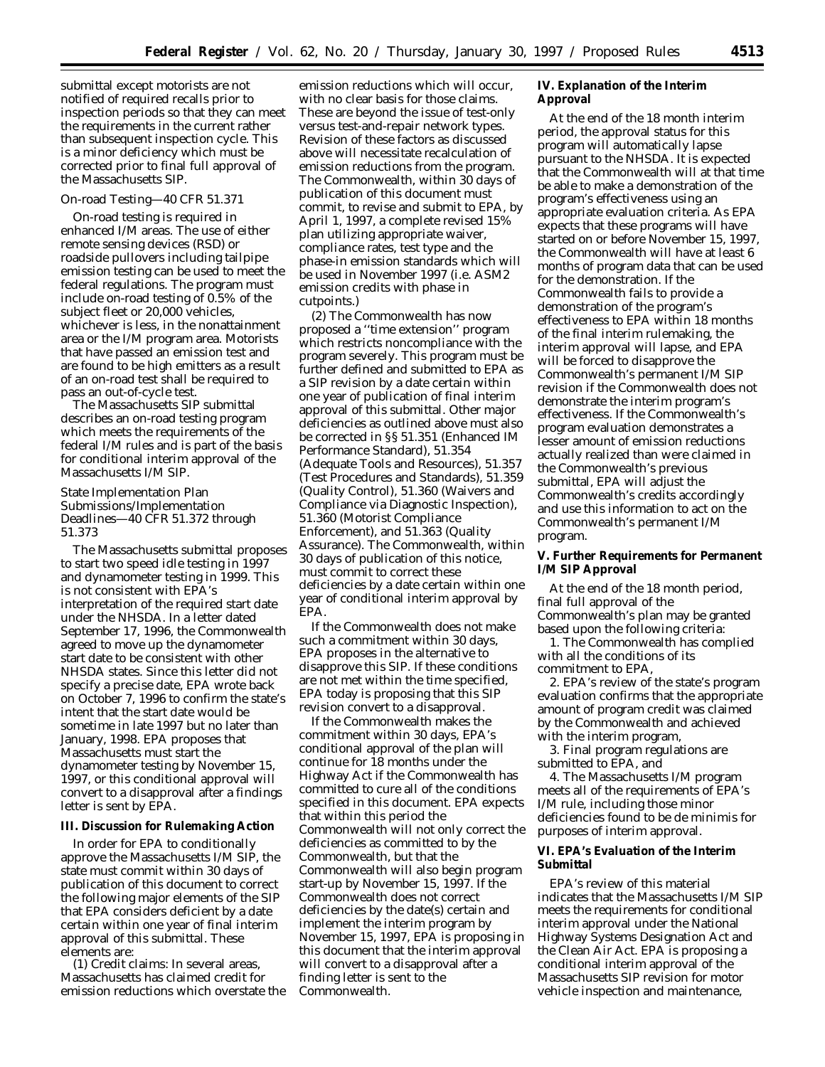submittal except motorists are not notified of required recalls prior to inspection periods so that they can meet the requirements in the current rather than subsequent inspection cycle. This is a minor deficiency which must be corrected prior to final full approval of the Massachusetts SIP.

# On-road Testing—40 CFR 51.371

On-road testing is required in enhanced I/M areas. The use of either remote sensing devices (RSD) or roadside pullovers including tailpipe emission testing can be used to meet the federal regulations. The program must include on-road testing of 0.5% of the subject fleet or 20,000 vehicles, whichever is less, in the nonattainment area or the I/M program area. Motorists that have passed an emission test and are found to be high emitters as a result of an on-road test shall be required to pass an out-of-cycle test.

The Massachusetts SIP submittal describes an on-road testing program which meets the requirements of the federal I/M rules and is part of the basis for conditional interim approval of the Massachusetts I/M SIP.

State Implementation Plan Submissions/Implementation Deadlines—40 CFR 51.372 through 51.373

The Massachusetts submittal proposes to start two speed idle testing in 1997 and dynamometer testing in 1999. This is not consistent with EPA's interpretation of the required start date under the NHSDA. In a letter dated September 17, 1996, the Commonwealth agreed to move up the dynamometer start date to be consistent with other NHSDA states. Since this letter did not specify a precise date, EPA wrote back on October 7, 1996 to confirm the state's intent that the start date would be sometime in late 1997 but no later than January, 1998. EPA proposes that Massachusetts must start the dynamometer testing by November 15, 1997, or this conditional approval will convert to a disapproval after a findings letter is sent by EPA.

#### **III. Discussion for Rulemaking Action**

In order for EPA to conditionally approve the Massachusetts I/M SIP, the state must commit within 30 days of publication of this document to correct the following major elements of the SIP that EPA considers deficient by a date certain within one year of final interim approval of this submittal. These elements are:

(1) Credit claims: In several areas, Massachusetts has claimed credit for emission reductions which overstate the

emission reductions which will occur, with no clear basis for those claims. These are beyond the issue of test-only versus test-and-repair network types. Revision of these factors as discussed above will necessitate recalculation of emission reductions from the program. The Commonwealth, within 30 days of publication of this document must commit, to revise and submit to EPA, by April 1, 1997, a complete revised 15% plan utilizing appropriate waiver, compliance rates, test type and the phase-in emission standards which will be used in November 1997 (i.e. ASM2 emission credits with phase in cutpoints.)

(2) The Commonwealth has now proposed a ''time extension'' program which restricts noncompliance with the program severely. This program must be further defined and submitted to EPA as a SIP revision by a date certain within one year of publication of final interim approval of this submittal. Other major deficiencies as outlined above must also be corrected in §§ 51.351 (Enhanced IM Performance Standard), 51.354 (Adequate Tools and Resources), 51.357 (Test Procedures and Standards), 51.359 (Quality Control), 51.360 (Waivers and Compliance via Diagnostic Inspection), 51.360 (Motorist Compliance Enforcement), and 51.363 (Quality Assurance). The Commonwealth, within 30 days of publication of this notice, must commit to correct these deficiencies by a date certain within one year of conditional interim approval by EPA.

If the Commonwealth does not make such a commitment within 30 days, EPA proposes in the alternative to disapprove this SIP. If these conditions are not met within the time specified, EPA today is proposing that this SIP revision convert to a disapproval.

If the Commonwealth makes the commitment within 30 days, EPA's conditional approval of the plan will continue for 18 months under the Highway Act if the Commonwealth has committed to cure all of the conditions specified in this document. EPA expects that within this period the Commonwealth will not only correct the deficiencies as committed to by the Commonwealth, but that the Commonwealth will also begin program start-up by November 15, 1997. If the Commonwealth does not correct deficiencies by the date(s) certain and implement the interim program by November 15, 1997, EPA is proposing in this document that the interim approval will convert to a disapproval after a finding letter is sent to the Commonwealth.

**IV. Explanation of the Interim Approval**

At the end of the 18 month interim period, the approval status for this program will automatically lapse pursuant to the NHSDA. It is expected that the Commonwealth will at that time be able to make a demonstration of the program's effectiveness using an appropriate evaluation criteria. As EPA expects that these programs will have started on or before November 15, 1997, the Commonwealth will have at least 6 months of program data that can be used for the demonstration. If the Commonwealth fails to provide a demonstration of the program's effectiveness to EPA within 18 months of the final interim rulemaking, the interim approval will lapse, and EPA will be forced to disapprove the Commonwealth's permanent I/M SIP revision if the Commonwealth does not demonstrate the interim program's effectiveness. If the Commonwealth's program evaluation demonstrates a lesser amount of emission reductions actually realized than were claimed in the Commonwealth's previous submittal, EPA will adjust the Commonwealth's credits accordingly and use this information to act on the Commonwealth's permanent I/M program.

**V. Further Requirements for Permanent I/M SIP Approval**

At the end of the 18 month period, final full approval of the Commonwealth's plan may be granted based upon the following criteria:

1. The Commonwealth has complied with all the conditions of its commitment to EPA,

2. EPA's review of the state's program evaluation confirms that the appropriate amount of program credit was claimed by the Commonwealth and achieved with the interim program,

3. Final program regulations are submitted to EPA, and

4. The Massachusetts I/M program meets all of the requirements of EPA's I/M rule, including those minor deficiencies found to be de minimis for purposes of interim approval.

# **VI. EPA's Evaluation of the Interim Submittal**

EPA's review of this material indicates that the Massachusetts I/M SIP meets the requirements for conditional interim approval under the National Highway Systems Designation Act and the Clean Air Act. EPA is proposing a conditional interim approval of the Massachusetts SIP revision for motor vehicle inspection and maintenance,